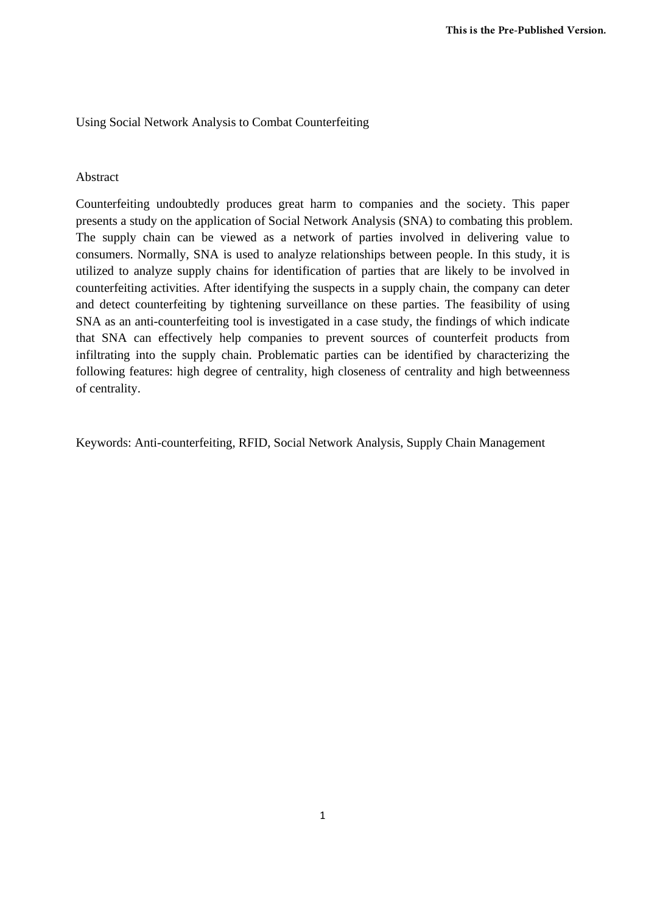### Using Social Network Analysis to Combat Counterfeiting

### Abstract

Counterfeiting undoubtedly produces great harm to companies and the society. This paper presents a study on the application of Social Network Analysis (SNA) to combating this problem. The supply chain can be viewed as a network of parties involved in delivering value to consumers. Normally, SNA is used to analyze relationships between people. In this study, it is utilized to analyze supply chains for identification of parties that are likely to be involved in counterfeiting activities. After identifying the suspects in a supply chain, the company can deter and detect counterfeiting by tightening surveillance on these parties. The feasibility of using SNA as an anti-counterfeiting tool is investigated in a case study, the findings of which indicate that SNA can effectively help companies to prevent sources of counterfeit products from infiltrating into the supply chain. Problematic parties can be identified by characterizing the following features: high degree of centrality, high closeness of centrality and high betweenness of centrality.

Keywords: Anti-counterfeiting, RFID, Social Network Analysis, Supply Chain Management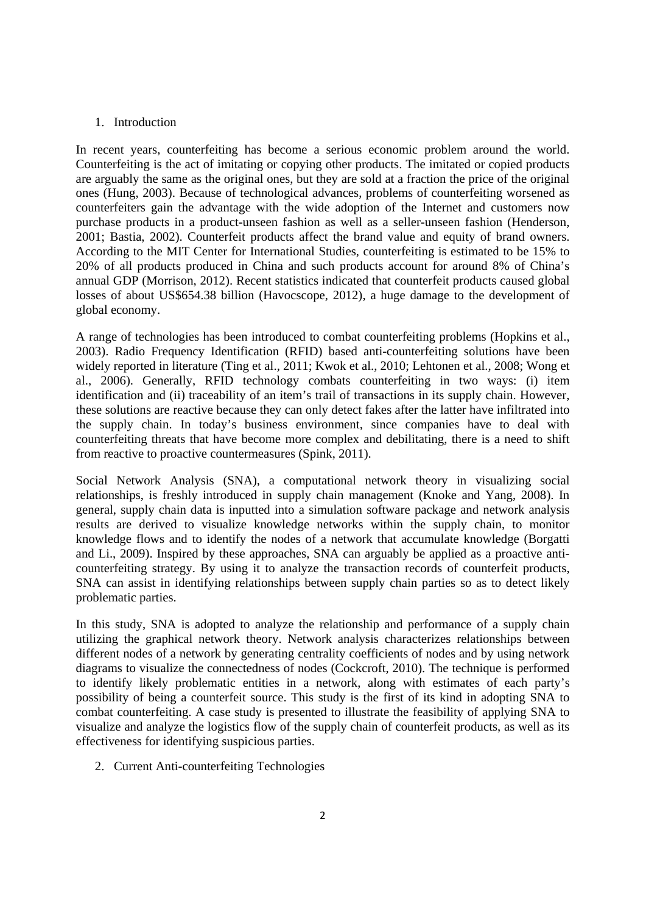### 1. Introduction

In recent years, counterfeiting has become a serious economic problem around the world. Counterfeiting is the act of imitating or copying other products. The imitated or copied products are arguably the same as the original ones, but they are sold at a fraction the price of the original ones (Hung, 2003). Because of technological advances, problems of counterfeiting worsened as counterfeiters gain the advantage with the wide adoption of the Internet and customers now purchase products in a product-unseen fashion as well as a seller-unseen fashion (Henderson, 2001; Bastia, 2002). Counterfeit products affect the brand value and equity of brand owners. According to the MIT Center for International Studies, counterfeiting is estimated to be 15% to 20% of all products produced in China and such products account for around 8% of China's annual GDP (Morrison, 2012). Recent statistics indicated that counterfeit products caused global losses of about US\$654.38 billion (Havocscope, 2012), a huge damage to the development of global economy.

A range of technologies has been introduced to combat counterfeiting problems (Hopkins et al., 2003). Radio Frequency Identification (RFID) based anti-counterfeiting solutions have been widely reported in literature (Ting et al., 2011; Kwok et al., 2010; Lehtonen et al., 2008; Wong et al., 2006). Generally, RFID technology combats counterfeiting in two ways: (i) item identification and (ii) traceability of an item's trail of transactions in its supply chain. However, these solutions are reactive because they can only detect fakes after the latter have infiltrated into the supply chain. In today's business environment, since companies have to deal with counterfeiting threats that have become more complex and debilitating, there is a need to shift from reactive to proactive countermeasures (Spink, 2011).

Social Network Analysis (SNA), a computational network theory in visualizing social relationships, is freshly introduced in supply chain management (Knoke and Yang, 2008). In general, supply chain data is inputted into a simulation software package and network analysis results are derived to visualize knowledge networks within the supply chain, to monitor knowledge flows and to identify the nodes of a network that accumulate knowledge (Borgatti and Li., 2009). Inspired by these approaches, SNA can arguably be applied as a proactive anticounterfeiting strategy. By using it to analyze the transaction records of counterfeit products, SNA can assist in identifying relationships between supply chain parties so as to detect likely problematic parties.

In this study, SNA is adopted to analyze the relationship and performance of a supply chain utilizing the graphical network theory. Network analysis characterizes relationships between different nodes of a network by generating centrality coefficients of nodes and by using network diagrams to visualize the connectedness of nodes (Cockcroft, 2010). The technique is performed to identify likely problematic entities in a network, along with estimates of each party's possibility of being a counterfeit source. This study is the first of its kind in adopting SNA to combat counterfeiting. A case study is presented to illustrate the feasibility of applying SNA to visualize and analyze the logistics flow of the supply chain of counterfeit products, as well as its effectiveness for identifying suspicious parties.

2. Current Anti-counterfeiting Technologies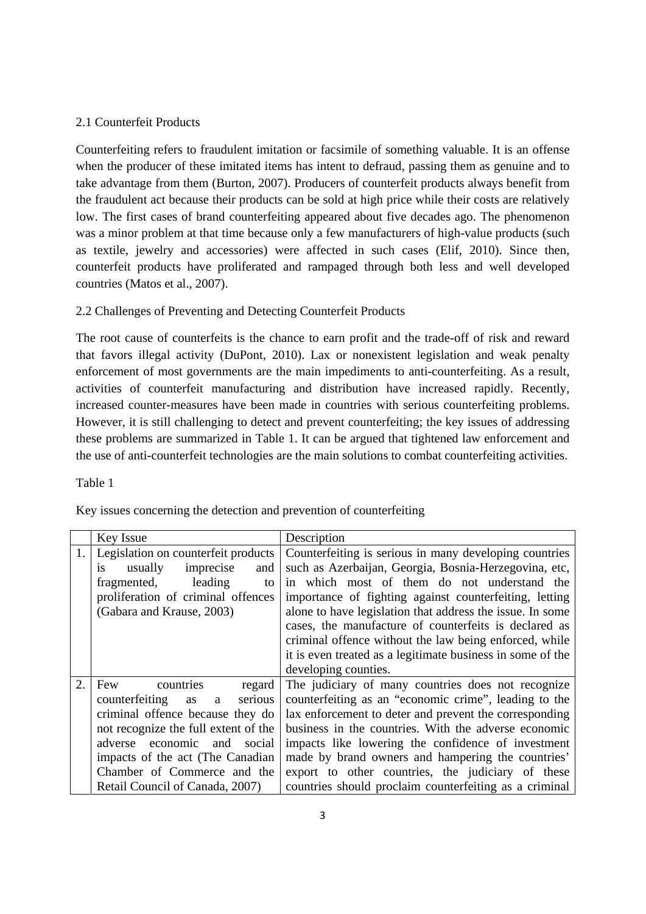## 2.1 Counterfeit Products

Counterfeiting refers to fraudulent imitation or facsimile of something valuable. It is an offense when the producer of these imitated items has intent to defraud, passing them as genuine and to take advantage from them (Burton, 2007). Producers of counterfeit products always benefit from the fraudulent act because their products can be sold at high price while their costs are relatively low. The first cases of brand counterfeiting appeared about five decades ago. The phenomenon was a minor problem at that time because only a few manufacturers of high-value products (such as textile, jewelry and accessories) were affected in such cases (Elif, 2010). Since then, counterfeit products have proliferated and rampaged through both less and well developed countries (Matos et al., 2007).

## 2.2 Challenges of Preventing and Detecting Counterfeit Products

The root cause of counterfeits is the chance to earn profit and the trade-off of risk and reward that favors illegal activity (DuPont, 2010). Lax or nonexistent legislation and weak penalty enforcement of most governments are the main impediments to anti-counterfeiting. As a result, activities of counterfeit manufacturing and distribution have increased rapidly. Recently, increased counter-measures have been made in countries with serious counterfeiting problems. However, it is still challenging to detect and prevent counterfeiting; the key issues of addressing these problems are summarized in Table 1. It can be argued that tightened law enforcement and the use of anti-counterfeit technologies are the main solutions to combat counterfeiting activities.

### Table 1

|    | Key Issue                                    | Description                                                |
|----|----------------------------------------------|------------------------------------------------------------|
|    | Legislation on counterfeit products          | Counterfeiting is serious in many developing countries     |
|    | usually<br>imprecise<br>and<br><sup>is</sup> | such as Azerbaijan, Georgia, Bosnia-Herzegovina, etc,      |
|    | leading<br>fragmented,<br>to                 | in which most of them do not understand the                |
|    | proliferation of criminal offences           | importance of fighting against counterfeiting, letting     |
|    | (Gabara and Krause, 2003)                    | alone to have legislation that address the issue. In some  |
|    |                                              | cases, the manufacture of counterfeits is declared as      |
|    |                                              | criminal offence without the law being enforced, while     |
|    |                                              | it is even treated as a legitimate business in some of the |
|    |                                              | developing counties.                                       |
| 2. | countries<br>Few<br>regard                   | The judiciary of many countries does not recognize         |
|    | counterfeiting<br>serious<br>a<br>as         | counterfeiting as an "economic crime", leading to the      |
|    | criminal offence because they do             | lax enforcement to deter and prevent the corresponding     |
|    | not recognize the full extent of the         | business in the countries. With the adverse economic       |
|    | adverse economic and social                  | impacts like lowering the confidence of investment         |
|    | impacts of the act (The Canadian             | made by brand owners and hampering the countries'          |
|    | Chamber of Commerce and the                  | export to other countries, the judiciary of these          |
|    | Retail Council of Canada, 2007)              | countries should proclaim counterfeiting as a criminal     |

Key issues concerning the detection and prevention of counterfeiting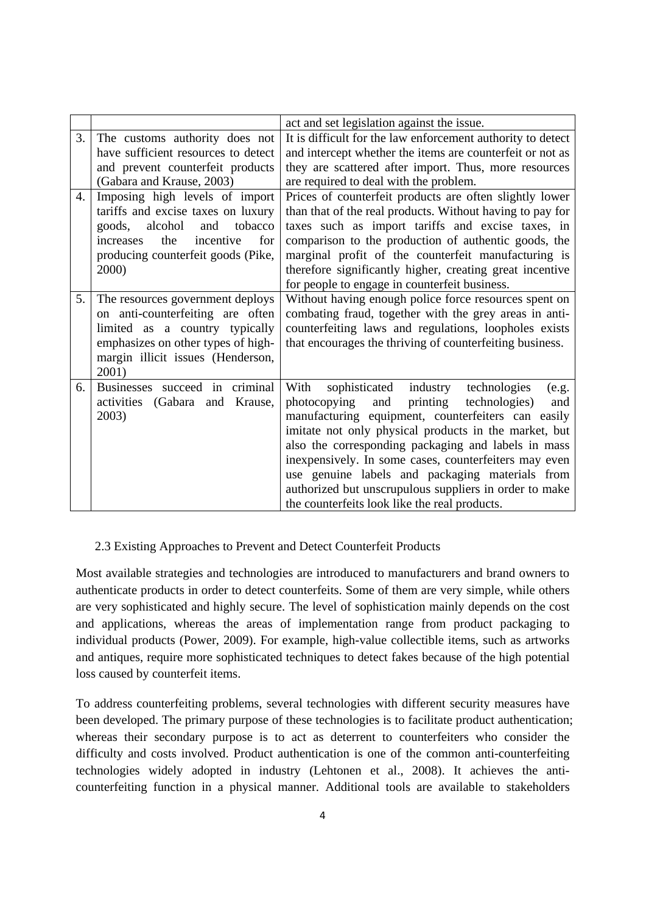|    |                                      | act and set legislation against the issue.                  |
|----|--------------------------------------|-------------------------------------------------------------|
| 3. | The customs authority does not       | It is difficult for the law enforcement authority to detect |
|    | have sufficient resources to detect  | and intercept whether the items are counterfeit or not as   |
|    | and prevent counterfeit products     | they are scattered after import. Thus, more resources       |
|    | (Gabara and Krause, 2003)            | are required to deal with the problem.                      |
| 4. | Imposing high levels of import       | Prices of counterfeit products are often slightly lower     |
|    | tariffs and excise taxes on luxury   | than that of the real products. Without having to pay for   |
|    | tobacco<br>goods,<br>alcohol<br>and  | taxes such as import tariffs and excise taxes, in           |
|    | increases<br>the<br>incentive<br>for | comparison to the production of authentic goods, the        |
|    | producing counterfeit goods (Pike,   | marginal profit of the counterfeit manufacturing is         |
|    | 2000)                                | therefore significantly higher, creating great incentive    |
|    |                                      | for people to engage in counterfeit business.               |
| 5. | The resources government deploys     | Without having enough police force resources spent on       |
|    | on anti-counterfeiting are often     | combating fraud, together with the grey areas in anti-      |
|    | limited as a country typically       | counterfeiting laws and regulations, loopholes exists       |
|    | emphasizes on other types of high-   | that encourages the thriving of counterfeiting business.    |
|    | margin illicit issues (Henderson,    |                                                             |
|    | 2001)                                |                                                             |
| 6. | criminal<br>Businesses succeed in    | With<br>sophisticated<br>industry<br>technologies<br>(e.g.  |
|    | activities (Gabara and Krause,       | photocopying<br>printing<br>technologies)<br>and<br>and     |
|    | 2003)                                | manufacturing equipment, counterfeiters can easily          |
|    |                                      | imitate not only physical products in the market, but       |
|    |                                      | also the corresponding packaging and labels in mass         |
|    |                                      | inexpensively. In some cases, counterfeiters may even       |
|    |                                      | use genuine labels and packaging materials from             |
|    |                                      | authorized but unscrupulous suppliers in order to make      |
|    |                                      | the counterfeits look like the real products.               |
|    |                                      |                                                             |

## 2.3 Existing Approaches to Prevent and Detect Counterfeit Products

Most available strategies and technologies are introduced to manufacturers and brand owners to authenticate products in order to detect counterfeits. Some of them are very simple, while others are very sophisticated and highly secure. The level of sophistication mainly depends on the cost and applications, whereas the areas of implementation range from product packaging to individual products (Power, 2009). For example, high-value collectible items, such as artworks and antiques, require more sophisticated techniques to detect fakes because of the high potential loss caused by counterfeit items.

To address counterfeiting problems, several technologies with different security measures have been developed. The primary purpose of these technologies is to facilitate product authentication; whereas their secondary purpose is to act as deterrent to counterfeiters who consider the difficulty and costs involved. Product authentication is one of the common anti-counterfeiting technologies widely adopted in industry (Lehtonen et al., 2008). It achieves the anticounterfeiting function in a physical manner. Additional tools are available to stakeholders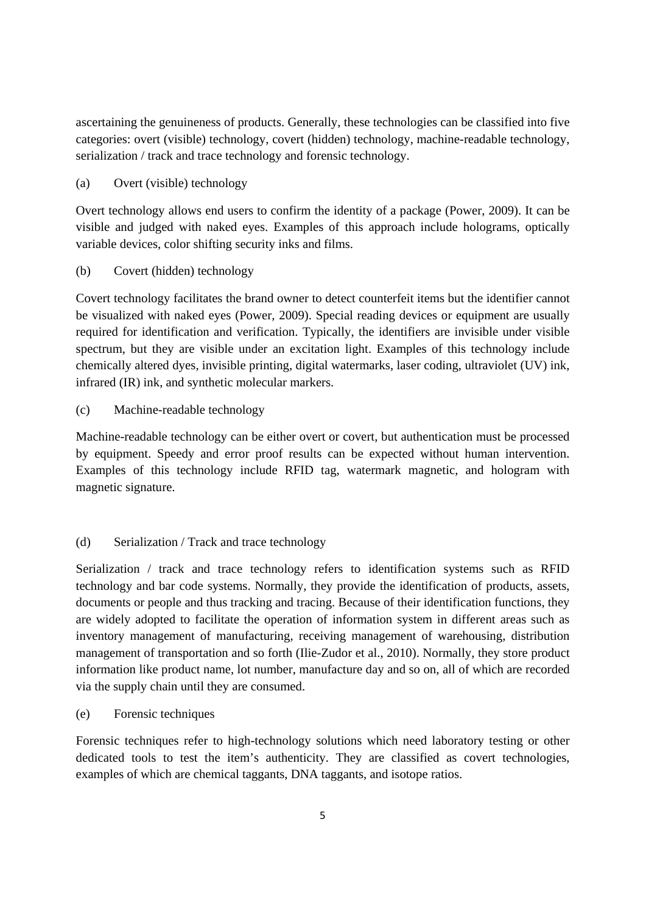ascertaining the genuineness of products. Generally, these technologies can be classified into five categories: overt (visible) technology, covert (hidden) technology, machine-readable technology, serialization / track and trace technology and forensic technology.

(a) Overt (visible) technology

Overt technology allows end users to confirm the identity of a package (Power, 2009). It can be visible and judged with naked eyes. Examples of this approach include holograms, optically variable devices, color shifting security inks and films.

(b) Covert (hidden) technology

Covert technology facilitates the brand owner to detect counterfeit items but the identifier cannot be visualized with naked eyes (Power, 2009). Special reading devices or equipment are usually required for identification and verification. Typically, the identifiers are invisible under visible spectrum, but they are visible under an excitation light. Examples of this technology include chemically altered dyes, invisible printing, digital watermarks, laser coding, ultraviolet (UV) ink, infrared (IR) ink, and synthetic molecular markers.

(c) Machine-readable technology

Machine-readable technology can be either overt or covert, but authentication must be processed by equipment. Speedy and error proof results can be expected without human intervention. Examples of this technology include RFID tag, watermark magnetic, and hologram with magnetic signature.

# (d) Serialization / Track and trace technology

Serialization / track and trace technology refers to identification systems such as RFID technology and bar code systems. Normally, they provide the identification of products, assets, documents or people and thus tracking and tracing. Because of their identification functions, they are widely adopted to facilitate the operation of information system in different areas such as inventory management of manufacturing, receiving management of warehousing, distribution management of transportation and so forth (Ilie-Zudor et al., 2010). Normally, they store product information like product name, lot number, manufacture day and so on, all of which are recorded via the supply chain until they are consumed.

(e) Forensic techniques

Forensic techniques refer to high-technology solutions which need laboratory testing or other dedicated tools to test the item's authenticity. They are classified as covert technologies, examples of which are chemical taggants, DNA taggants, and isotope ratios.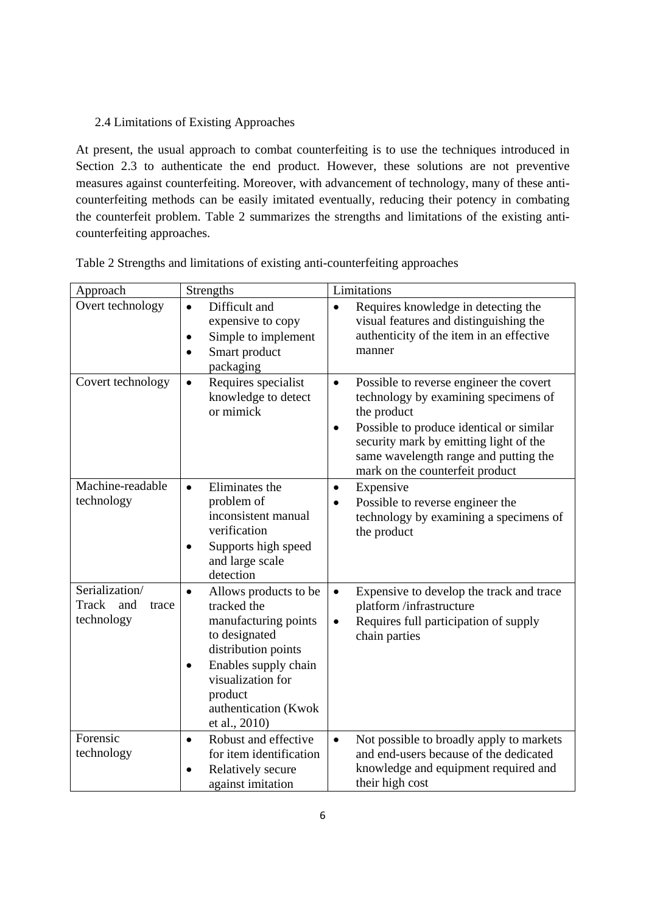## 2.4 Limitations of Existing Approaches

At present, the usual approach to combat counterfeiting is to use the techniques introduced in Section 2.3 to authenticate the end product. However, these solutions are not preventive measures against counterfeiting. Moreover, with advancement of technology, many of these anticounterfeiting methods can be easily imitated eventually, reducing their potency in combating the counterfeit problem. Table 2 summarizes the strengths and limitations of the existing anticounterfeiting approaches.

| Approach                                              | Strengths                                                                                                                                                                                                                       | Limitations                                                                                                                                                                                                                                                                                |  |
|-------------------------------------------------------|---------------------------------------------------------------------------------------------------------------------------------------------------------------------------------------------------------------------------------|--------------------------------------------------------------------------------------------------------------------------------------------------------------------------------------------------------------------------------------------------------------------------------------------|--|
| Overt technology                                      | Difficult and<br>$\bullet$<br>expensive to copy<br>Simple to implement<br>$\bullet$<br>Smart product<br>$\bullet$<br>packaging                                                                                                  | Requires knowledge in detecting the<br>$\bullet$<br>visual features and distinguishing the<br>authenticity of the item in an effective<br>manner                                                                                                                                           |  |
| Covert technology                                     | Requires specialist<br>$\bullet$<br>knowledge to detect<br>or mimick                                                                                                                                                            | Possible to reverse engineer the covert<br>$\bullet$<br>technology by examining specimens of<br>the product<br>Possible to produce identical or similar<br>$\bullet$<br>security mark by emitting light of the<br>same wavelength range and putting the<br>mark on the counterfeit product |  |
| Machine-readable<br>technology                        | Eliminates the<br>$\bullet$<br>problem of<br>inconsistent manual<br>verification<br>Supports high speed<br>$\bullet$<br>and large scale<br>detection                                                                            | Expensive<br>$\bullet$<br>Possible to reverse engineer the<br>$\bullet$<br>technology by examining a specimens of<br>the product                                                                                                                                                           |  |
| Serialization/<br>Track<br>and<br>trace<br>technology | Allows products to be<br>$\bullet$<br>tracked the<br>manufacturing points<br>to designated<br>distribution points<br>Enables supply chain<br>$\bullet$<br>visualization for<br>product<br>authentication (Kwok<br>et al., 2010) | Expensive to develop the track and trace<br>$\bullet$<br>platform /infrastructure<br>Requires full participation of supply<br>$\bullet$<br>chain parties                                                                                                                                   |  |
| Forensic<br>technology                                | Robust and effective<br>$\bullet$<br>for item identification<br>Relatively secure<br>$\bullet$<br>against imitation                                                                                                             | Not possible to broadly apply to markets<br>$\bullet$<br>and end-users because of the dedicated<br>knowledge and equipment required and<br>their high cost                                                                                                                                 |  |

Table 2 Strengths and limitations of existing anti-counterfeiting approaches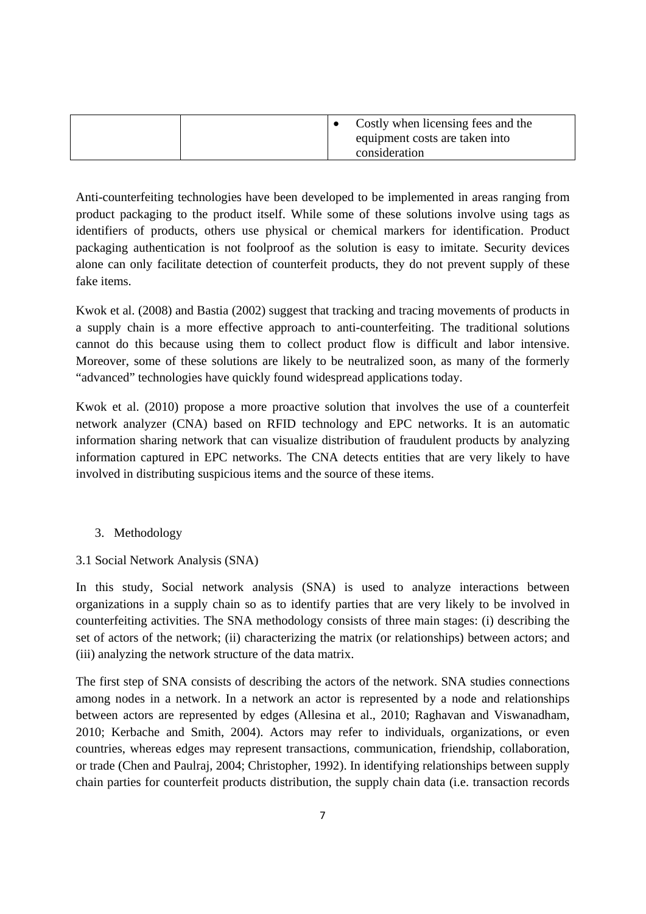| Costly when licensing fees and the |
|------------------------------------|
| equipment costs are taken into     |
| consideration                      |

Anti-counterfeiting technologies have been developed to be implemented in areas ranging from product packaging to the product itself. While some of these solutions involve using tags as identifiers of products, others use physical or chemical markers for identification. Product packaging authentication is not foolproof as the solution is easy to imitate. Security devices alone can only facilitate detection of counterfeit products, they do not prevent supply of these fake items.

Kwok et al. (2008) and Bastia (2002) suggest that tracking and tracing movements of products in a supply chain is a more effective approach to anti-counterfeiting. The traditional solutions cannot do this because using them to collect product flow is difficult and labor intensive. Moreover, some of these solutions are likely to be neutralized soon, as many of the formerly "advanced" technologies have quickly found widespread applications today.

Kwok et al. (2010) propose a more proactive solution that involves the use of a counterfeit network analyzer (CNA) based on RFID technology and EPC networks. It is an automatic information sharing network that can visualize distribution of fraudulent products by analyzing information captured in EPC networks. The CNA detects entities that are very likely to have involved in distributing suspicious items and the source of these items.

- 3. Methodology
- 3.1 Social Network Analysis (SNA)

In this study, Social network analysis (SNA) is used to analyze interactions between organizations in a supply chain so as to identify parties that are very likely to be involved in counterfeiting activities. The SNA methodology consists of three main stages: (i) describing the set of actors of the network; (ii) characterizing the matrix (or relationships) between actors; and (iii) analyzing the network structure of the data matrix.

The first step of SNA consists of describing the actors of the network. SNA studies connections among nodes in a network. In a network an actor is represented by a node and relationships between actors are represented by edges (Allesina et al., 2010; Raghavan and Viswanadham, 2010; Kerbache and Smith, 2004). Actors may refer to individuals, organizations, or even countries, whereas edges may represent transactions, communication, friendship, collaboration, or trade (Chen and Paulraj, 2004; Christopher, 1992). In identifying relationships between supply chain parties for counterfeit products distribution, the supply chain data (i.e. transaction records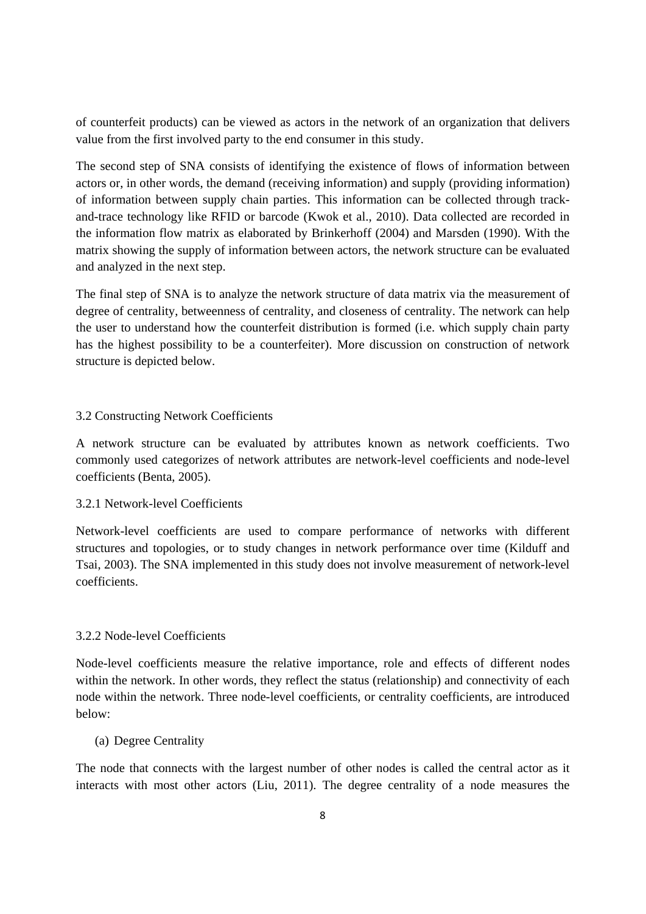of counterfeit products) can be viewed as actors in the network of an organization that delivers value from the first involved party to the end consumer in this study.

The second step of SNA consists of identifying the existence of flows of information between actors or, in other words, the demand (receiving information) and supply (providing information) of information between supply chain parties. This information can be collected through trackand-trace technology like RFID or barcode (Kwok et al., 2010). Data collected are recorded in the information flow matrix as elaborated by Brinkerhoff (2004) and Marsden (1990). With the matrix showing the supply of information between actors, the network structure can be evaluated and analyzed in the next step.

The final step of SNA is to analyze the network structure of data matrix via the measurement of degree of centrality, betweenness of centrality, and closeness of centrality. The network can help the user to understand how the counterfeit distribution is formed (i.e. which supply chain party has the highest possibility to be a counterfeiter). More discussion on construction of network structure is depicted below.

### 3.2 Constructing Network Coefficients

A network structure can be evaluated by attributes known as network coefficients. Two commonly used categorizes of network attributes are network-level coefficients and node-level coefficients (Benta, 2005).

## 3.2.1 Network-level Coefficients

Network-level coefficients are used to compare performance of networks with different structures and topologies, or to study changes in network performance over time (Kilduff and Tsai, 2003). The SNA implemented in this study does not involve measurement of network-level coefficients.

### 3.2.2 Node-level Coefficients

Node-level coefficients measure the relative importance, role and effects of different nodes within the network. In other words, they reflect the status (relationship) and connectivity of each node within the network. Three node-level coefficients, or centrality coefficients, are introduced below:

(a) Degree Centrality

The node that connects with the largest number of other nodes is called the central actor as it interacts with most other actors (Liu, 2011). The degree centrality of a node measures the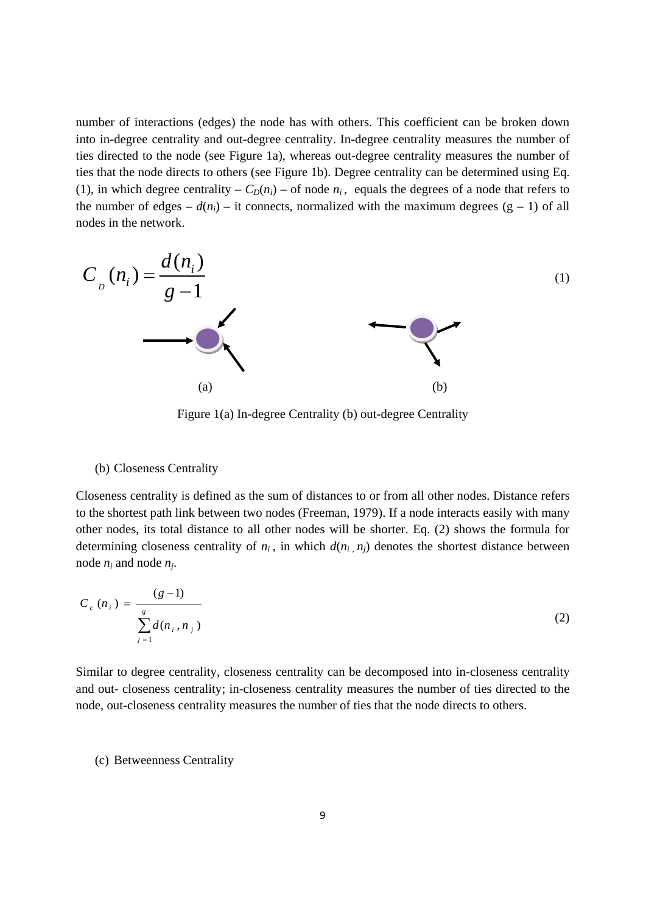number of interactions (edges) the node has with others. This coefficient can be broken down into in-degree centrality and out-degree centrality. In-degree centrality measures the number of ties directed to the node (see Figure 1a), whereas out-degree centrality measures the number of ties that the node directs to others (see Figure 1b). Degree centrality can be determined using Eq. (1), in which degree centrality –  $C_D(n_i)$  – of node  $n_i$ , equals the degrees of a node that refers to the number of edges –  $d(n_i)$  – it connects, normalized with the maximum degrees  $(g - 1)$  of all nodes in the network.



Figure 1(a) In-degree Centrality (b) out-degree Centrality

#### (b) Closeness Centrality

Closeness centrality is defined as the sum of distances to or from all other nodes. Distance refers to the shortest path link between two nodes (Freeman, 1979). If a node interacts easily with many other nodes, its total distance to all other nodes will be shorter. Eq. (2) shows the formula for determining closeness centrality of  $n_i$ , in which  $d(n_i, n_j)$  denotes the shortest distance between node *ni* and node *nj*.

$$
C_c(n_i) = \frac{(g-1)}{\sum_{j=1}^{g} d(n_i, n_j)}
$$
(2)

Similar to degree centrality, closeness centrality can be decomposed into in-closeness centrality and out- closeness centrality; in-closeness centrality measures the number of ties directed to the node, out-closeness centrality measures the number of ties that the node directs to others.

(c) Betweenness Centrality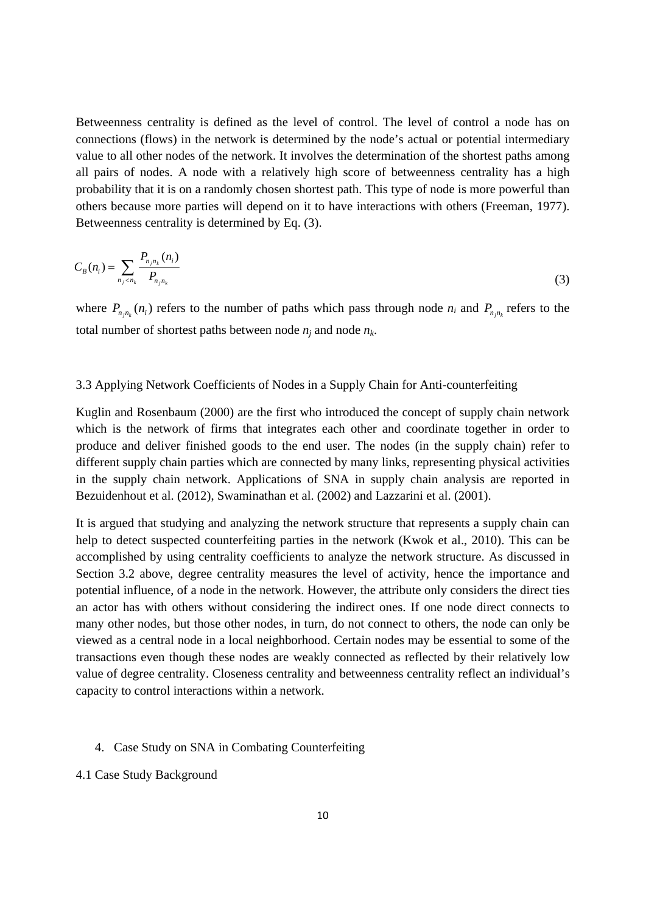Betweenness centrality is defined as the level of control. The level of control a node has on connections (flows) in the network is determined by the node's actual or potential intermediary value to all other nodes of the network. It involves the determination of the shortest paths among all pairs of nodes. A node with a relatively high score of betweenness centrality has a high probability that it is on a randomly chosen shortest path. This type of node is more powerful than others because more parties will depend on it to have interactions with others (Freeman, 1977). Betweenness centrality is determined by Eq. (3).

$$
C_B(n_i) = \sum_{n_j < n_k} \frac{P_{n_j n_k}(n_i)}{P_{n_j n_k}}\tag{3}
$$

where  $P_{n,n_k}(n_i)$  refers to the number of paths which pass through node  $n_i$  and  $P_{n,n_k}$  refers to the total number of shortest paths between node  $n_i$  and node  $n_k$ .

### 3.3 Applying Network Coefficients of Nodes in a Supply Chain for Anti-counterfeiting

Kuglin and Rosenbaum (2000) are the first who introduced the concept of supply chain network which is the network of firms that integrates each other and coordinate together in order to produce and deliver finished goods to the end user. The nodes (in the supply chain) refer to different supply chain parties which are connected by many links, representing physical activities in the supply chain network. Applications of SNA in supply chain analysis are reported in Bezuidenhout et al. (2012), Swaminathan et al. (2002) and Lazzarini et al. (2001).

It is argued that studying and analyzing the network structure that represents a supply chain can help to detect suspected counterfeiting parties in the network (Kwok et al., 2010). This can be accomplished by using centrality coefficients to analyze the network structure. As discussed in Section 3.2 above, degree centrality measures the level of activity, hence the importance and potential influence, of a node in the network. However, the attribute only considers the direct ties an actor has with others without considering the indirect ones. If one node direct connects to many other nodes, but those other nodes, in turn, do not connect to others, the node can only be viewed as a central node in a local neighborhood. Certain nodes may be essential to some of the transactions even though these nodes are weakly connected as reflected by their relatively low value of degree centrality. Closeness centrality and betweenness centrality reflect an individual's capacity to control interactions within a network.

### 4. Case Study on SNA in Combating Counterfeiting

#### 4.1 Case Study Background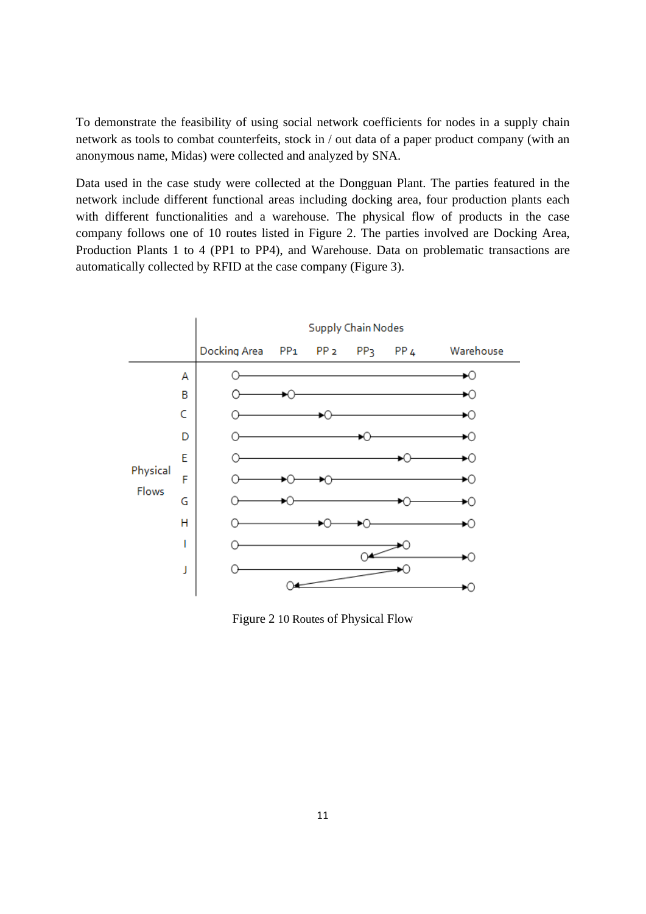To demonstrate the feasibility of using social network coefficients for nodes in a supply chain network as tools to combat counterfeits, stock in / out data of a paper product company (with an anonymous name, Midas) were collected and analyzed by SNA.

Data used in the case study were collected at the Dongguan Plant. The parties featured in the network include different functional areas including docking area, four production plants each with different functionalities and a warehouse. The physical flow of products in the case company follows one of 10 routes listed in Figure 2. The parties involved are Docking Area, Production Plants 1 to 4 (PP1 to PP4), and Warehouse. Data on problematic transactions are automatically collected by RFID at the case company (Figure 3).



Figure 2 10 Routes of Physical Flow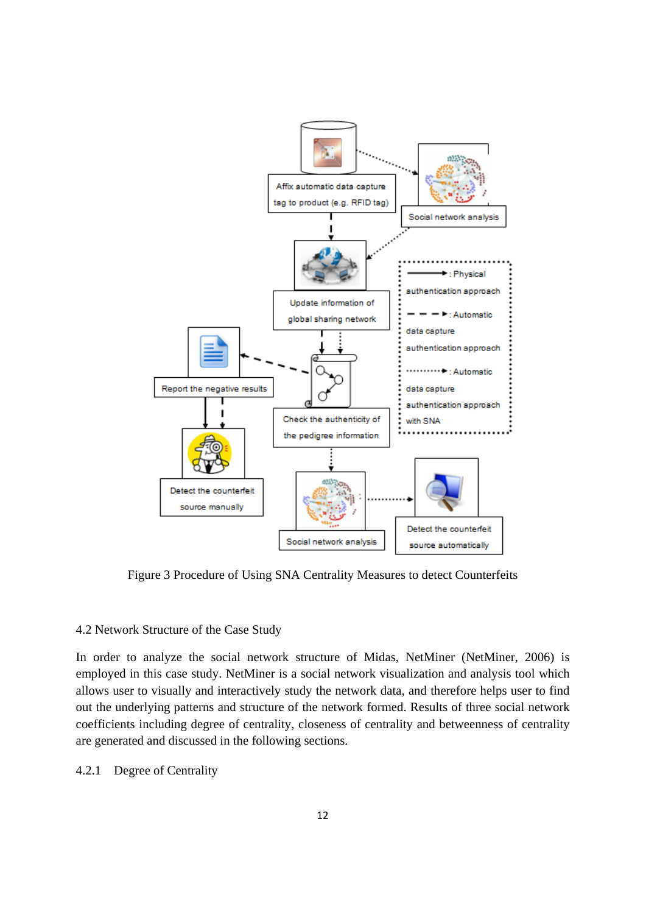

Figure 3 Procedure of Using SNA Centrality Measures to detect Counterfeits

## 4.2 Network Structure of the Case Study

In order to analyze the social network structure of Midas, NetMiner (NetMiner, 2006) is employed in this case study. NetMiner is a social network visualization and analysis tool which allows user to visually and interactively study the network data, and therefore helps user to find out the underlying patterns and structure of the network formed. Results of three social network coefficients including degree of centrality, closeness of centrality and betweenness of centrality are generated and discussed in the following sections.

4.2.1 Degree of Centrality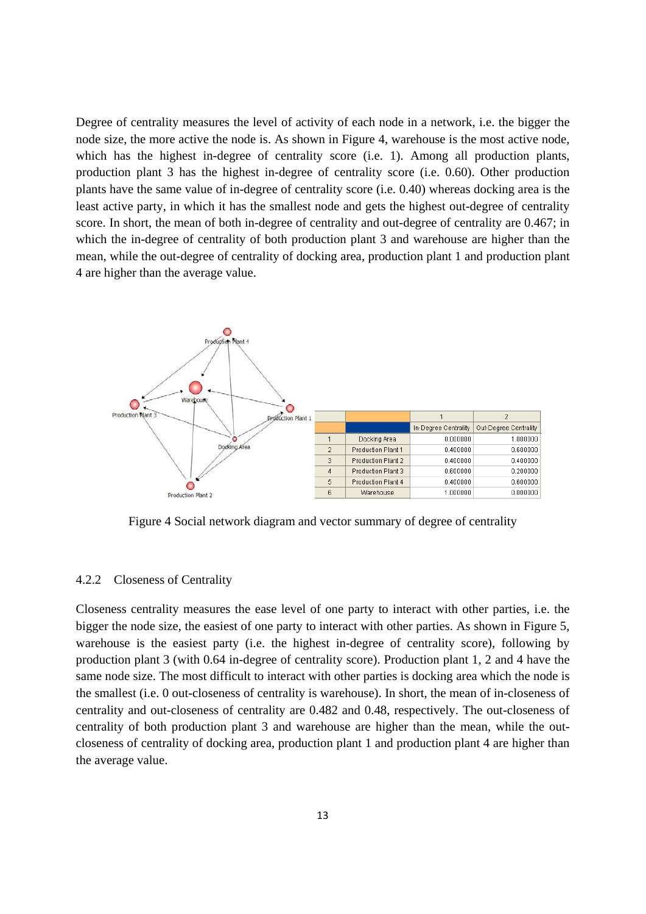Degree of centrality measures the level of activity of each node in a network, i.e. the bigger the node size, the more active the node is. As shown in Figure 4, warehouse is the most active node, which has the highest in-degree of centrality score (i.e. 1). Among all production plants, production plant 3 has the highest in-degree of centrality score (i.e. 0.60). Other production plants have the same value of in-degree of centrality score (i.e. 0.40) whereas docking area is the least active party, in which it has the smallest node and gets the highest out-degree of centrality score. In short, the mean of both in-degree of centrality and out-degree of centrality are 0.467; in which the in-degree of centrality of both production plant 3 and warehouse are higher than the mean, while the out-degree of centrality of docking area, production plant 1 and production plant 4 are higher than the average value.



Figure 4 Social network diagram and vector summary of degree of centrality

#### 4.2.2 Closeness of Centrality

Closeness centrality measures the ease level of one party to interact with other parties, i.e. the bigger the node size, the easiest of one party to interact with other parties. As shown in Figure 5, warehouse is the easiest party (i.e. the highest in-degree of centrality score), following by production plant 3 (with 0.64 in-degree of centrality score). Production plant 1, 2 and 4 have the same node size. The most difficult to interact with other parties is docking area which the node is the smallest (i.e. 0 out-closeness of centrality is warehouse). In short, the mean of in-closeness of centrality and out-closeness of centrality are 0.482 and 0.48, respectively. The out-closeness of centrality of both production plant 3 and warehouse are higher than the mean, while the outcloseness of centrality of docking area, production plant 1 and production plant 4 are higher than the average value.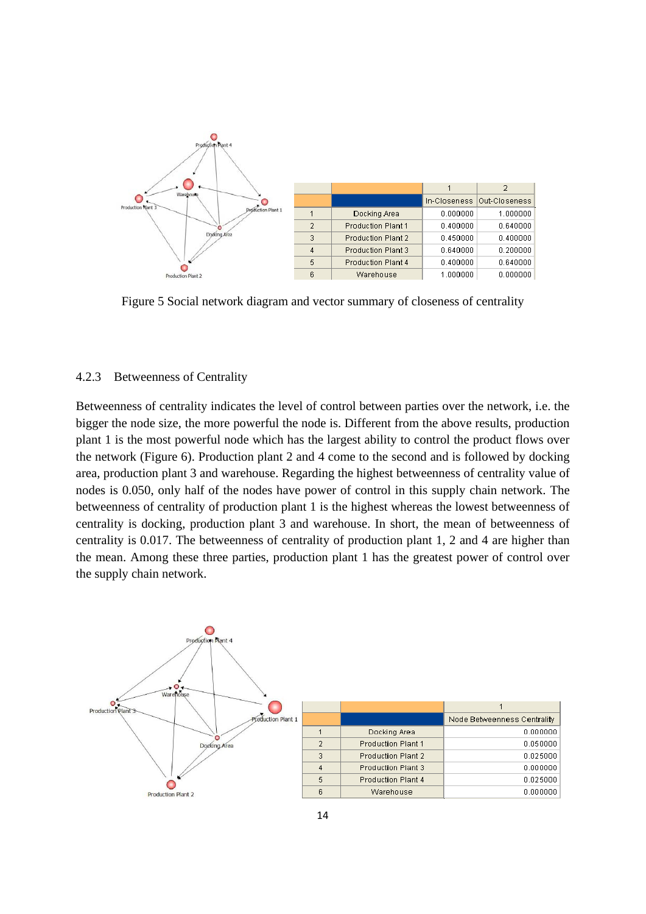

Figure 5 Social network diagram and vector summary of closeness of centrality

#### 4.2.3 Betweenness of Centrality

Betweenness of centrality indicates the level of control between parties over the network, i.e. the bigger the node size, the more powerful the node is. Different from the above results, production plant 1 is the most powerful node which has the largest ability to control the product flows over the network (Figure 6). Production plant 2 and 4 come to the second and is followed by docking area, production plant 3 and warehouse. Regarding the highest betweenness of centrality value of nodes is 0.050, only half of the nodes have power of control in this supply chain network. The betweenness of centrality of production plant 1 is the highest whereas the lowest betweenness of centrality is docking, production plant 3 and warehouse. In short, the mean of betweenness of centrality is 0.017. The betweenness of centrality of production plant 1, 2 and 4 are higher than the mean. Among these three parties, production plant 1 has the greatest power of control over the supply chain network.

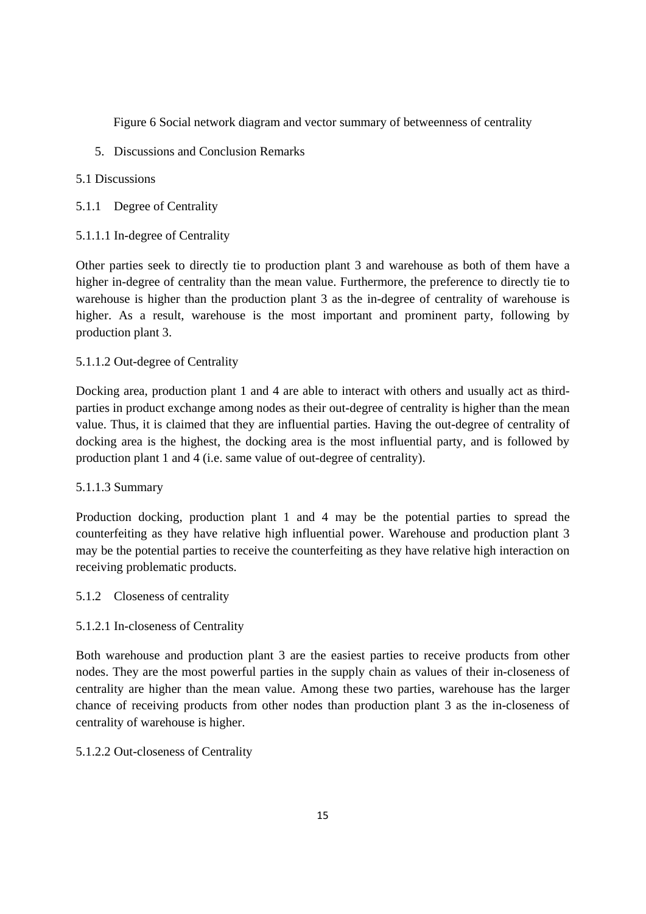Figure 6 Social network diagram and vector summary of betweenness of centrality

5. Discussions and Conclusion Remarks

## 5.1 Discussions

5.1.1 Degree of Centrality

# 5.1.1.1 In-degree of Centrality

Other parties seek to directly tie to production plant 3 and warehouse as both of them have a higher in-degree of centrality than the mean value. Furthermore, the preference to directly tie to warehouse is higher than the production plant 3 as the in-degree of centrality of warehouse is higher. As a result, warehouse is the most important and prominent party, following by production plant 3.

# 5.1.1.2 Out-degree of Centrality

Docking area, production plant 1 and 4 are able to interact with others and usually act as thirdparties in product exchange among nodes as their out-degree of centrality is higher than the mean value. Thus, it is claimed that they are influential parties. Having the out-degree of centrality of docking area is the highest, the docking area is the most influential party, and is followed by production plant 1 and 4 (i.e. same value of out-degree of centrality).

## 5.1.1.3 Summary

Production docking, production plant 1 and 4 may be the potential parties to spread the counterfeiting as they have relative high influential power. Warehouse and production plant 3 may be the potential parties to receive the counterfeiting as they have relative high interaction on receiving problematic products.

## 5.1.2 Closeness of centrality

# 5.1.2.1 In-closeness of Centrality

Both warehouse and production plant 3 are the easiest parties to receive products from other nodes. They are the most powerful parties in the supply chain as values of their in-closeness of centrality are higher than the mean value. Among these two parties, warehouse has the larger chance of receiving products from other nodes than production plant 3 as the in-closeness of centrality of warehouse is higher.

## 5.1.2.2 Out-closeness of Centrality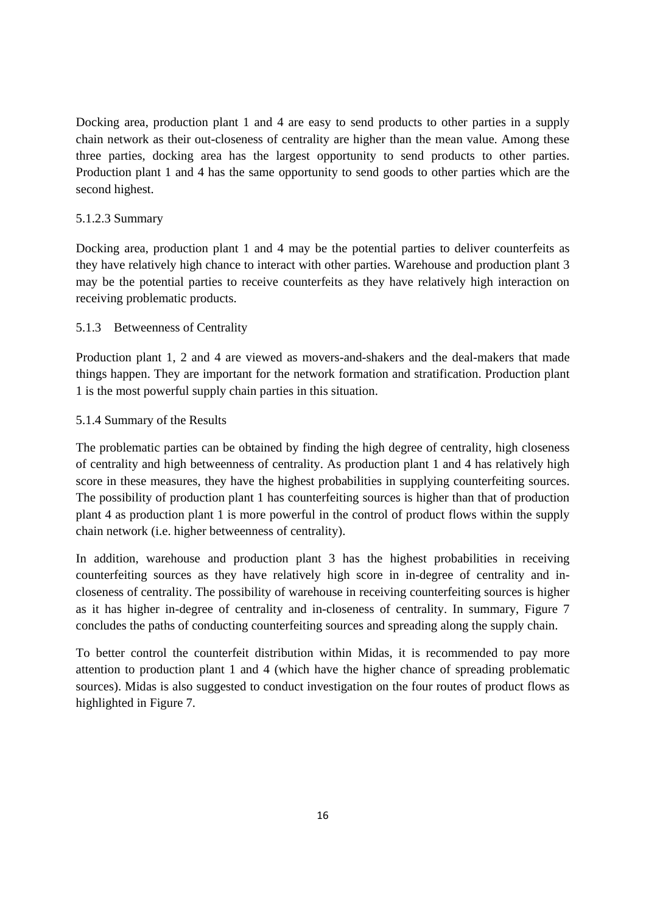Docking area, production plant 1 and 4 are easy to send products to other parties in a supply chain network as their out-closeness of centrality are higher than the mean value. Among these three parties, docking area has the largest opportunity to send products to other parties. Production plant 1 and 4 has the same opportunity to send goods to other parties which are the second highest.

## 5.1.2.3 Summary

Docking area, production plant 1 and 4 may be the potential parties to deliver counterfeits as they have relatively high chance to interact with other parties. Warehouse and production plant 3 may be the potential parties to receive counterfeits as they have relatively high interaction on receiving problematic products.

# 5.1.3 Betweenness of Centrality

Production plant 1, 2 and 4 are viewed as movers-and-shakers and the deal-makers that made things happen. They are important for the network formation and stratification. Production plant 1 is the most powerful supply chain parties in this situation.

# 5.1.4 Summary of the Results

The problematic parties can be obtained by finding the high degree of centrality, high closeness of centrality and high betweenness of centrality. As production plant 1 and 4 has relatively high score in these measures, they have the highest probabilities in supplying counterfeiting sources. The possibility of production plant 1 has counterfeiting sources is higher than that of production plant 4 as production plant 1 is more powerful in the control of product flows within the supply chain network (i.e. higher betweenness of centrality).

In addition, warehouse and production plant 3 has the highest probabilities in receiving counterfeiting sources as they have relatively high score in in-degree of centrality and incloseness of centrality. The possibility of warehouse in receiving counterfeiting sources is higher as it has higher in-degree of centrality and in-closeness of centrality. In summary, Figure 7 concludes the paths of conducting counterfeiting sources and spreading along the supply chain.

To better control the counterfeit distribution within Midas, it is recommended to pay more attention to production plant 1 and 4 (which have the higher chance of spreading problematic sources). Midas is also suggested to conduct investigation on the four routes of product flows as highlighted in Figure 7.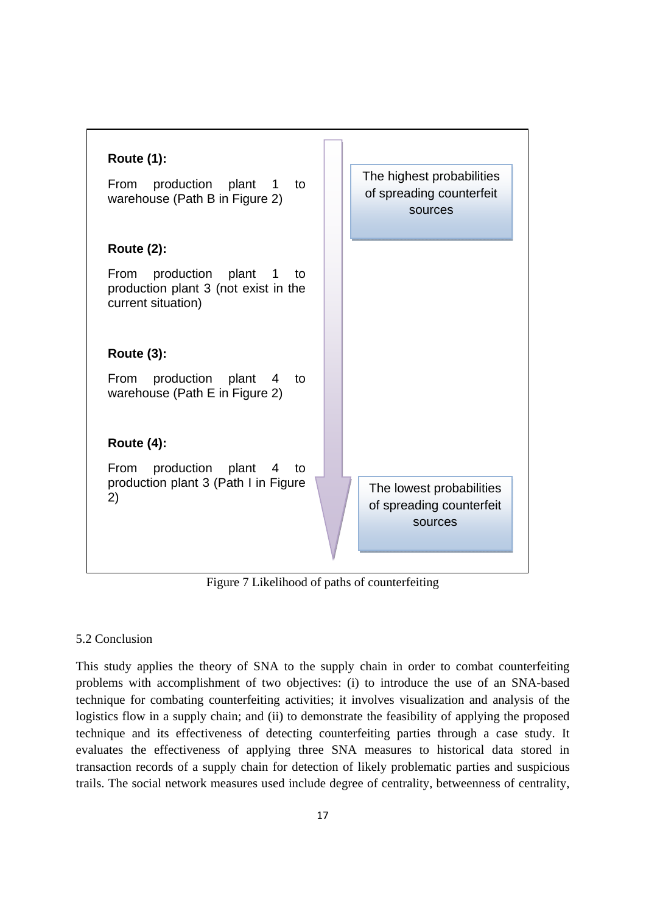

Figure 7 Likelihood of paths of counterfeiting

## 5.2 Conclusion

This study applies the theory of SNA to the supply chain in order to combat counterfeiting problems with accomplishment of two objectives: (i) to introduce the use of an SNA-based technique for combating counterfeiting activities; it involves visualization and analysis of the logistics flow in a supply chain; and (ii) to demonstrate the feasibility of applying the proposed technique and its effectiveness of detecting counterfeiting parties through a case study. It evaluates the effectiveness of applying three SNA measures to historical data stored in transaction records of a supply chain for detection of likely problematic parties and suspicious trails. The social network measures used include degree of centrality, betweenness of centrality,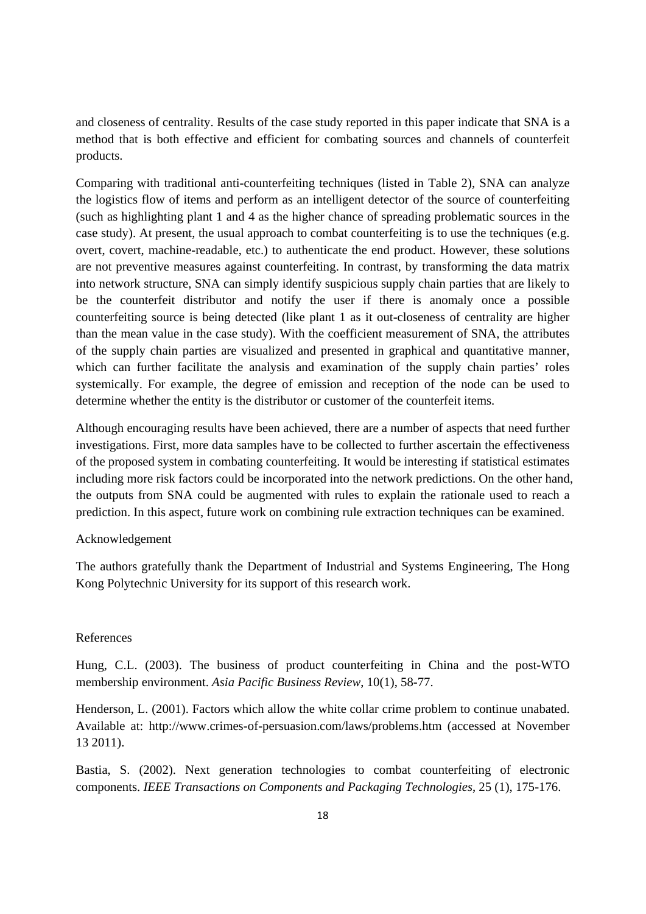and closeness of centrality. Results of the case study reported in this paper indicate that SNA is a method that is both effective and efficient for combating sources and channels of counterfeit products.

Comparing with traditional anti-counterfeiting techniques (listed in Table 2), SNA can analyze the logistics flow of items and perform as an intelligent detector of the source of counterfeiting (such as highlighting plant 1 and 4 as the higher chance of spreading problematic sources in the case study). At present, the usual approach to combat counterfeiting is to use the techniques (e.g. overt, covert, machine-readable, etc.) to authenticate the end product. However, these solutions are not preventive measures against counterfeiting. In contrast, by transforming the data matrix into network structure, SNA can simply identify suspicious supply chain parties that are likely to be the counterfeit distributor and notify the user if there is anomaly once a possible counterfeiting source is being detected (like plant 1 as it out-closeness of centrality are higher than the mean value in the case study). With the coefficient measurement of SNA, the attributes of the supply chain parties are visualized and presented in graphical and quantitative manner, which can further facilitate the analysis and examination of the supply chain parties' roles systemically. For example, the degree of emission and reception of the node can be used to determine whether the entity is the distributor or customer of the counterfeit items.

Although encouraging results have been achieved, there are a number of aspects that need further investigations. First, more data samples have to be collected to further ascertain the effectiveness of the proposed system in combating counterfeiting. It would be interesting if statistical estimates including more risk factors could be incorporated into the network predictions. On the other hand, the outputs from SNA could be augmented with rules to explain the rationale used to reach a prediction. In this aspect, future work on combining rule extraction techniques can be examined.

### Acknowledgement

The authors gratefully thank the Department of Industrial and Systems Engineering, The Hong Kong Polytechnic University for its support of this research work.

### References

Hung, C.L. (2003). The business of product counterfeiting in China and the post-WTO membership environment. *Asia Pacific Business Review*, 10(1), 58-77.

Henderson, L. (2001). Factors which allow the white collar crime problem to continue unabated. Available at: http://www.crimes-of-persuasion.com/laws/problems.htm (accessed at November 13 2011).

Bastia, S. (2002). Next generation technologies to combat counterfeiting of electronic components. *IEEE Transactions on Components and Packaging Technologies*, 25 (1), 175-176.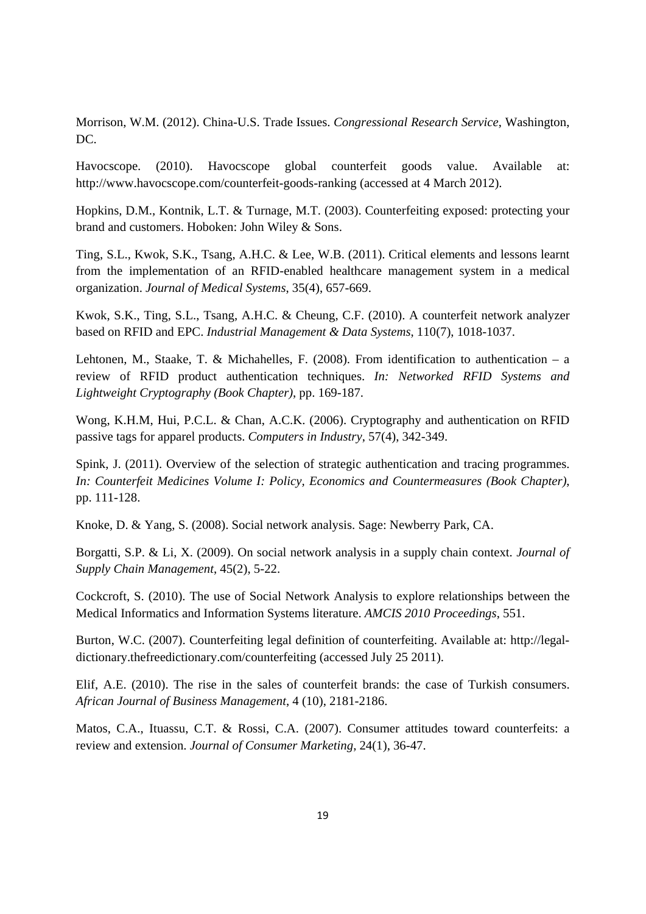Morrison, W.M. (2012). China-U.S. Trade Issues. *Congressional Research Service*, Washington, DC.

Havocscope. (2010). Havocscope global counterfeit goods value. Available at: http://www.havocscope.com/counterfeit-goods-ranking (accessed at 4 March 2012).

Hopkins, D.M., Kontnik, L.T. & Turnage, M.T. (2003). Counterfeiting exposed: protecting your brand and customers. Hoboken: John Wiley & Sons.

Ting, S.L., Kwok, S.K., Tsang, A.H.C. & Lee, W.B. (2011). Critical elements and lessons learnt from the implementation of an RFID-enabled healthcare management system in a medical organization. *Journal of Medical Systems*, 35(4), 657-669.

Kwok, S.K., Ting, S.L., Tsang, A.H.C. & Cheung, C.F. (2010). A counterfeit network analyzer based on RFID and EPC. *Industrial Management & Data Systems*, 110(7), 1018-1037.

Lehtonen, M., Staake, T. & Michahelles, F. (2008). From identification to authentication – a review of RFID product authentication techniques. *In: Networked RFID Systems and Lightweight Cryptography (Book Chapter)*, pp. 169-187.

Wong, K.H.M, Hui, P.C.L. & Chan, A.C.K. (2006). Cryptography and authentication on RFID passive tags for apparel products. *Computers in Industry*, 57(4), 342-349.

Spink, J. (2011). Overview of the selection of strategic authentication and tracing programmes. *In: Counterfeit Medicines Volume I: Policy, Economics and Countermeasures (Book Chapter)*, pp. 111-128.

Knoke, D. & Yang, S. (2008). Social network analysis. Sage: Newberry Park, CA.

Borgatti, S.P. & Li, X. (2009). On social network analysis in a supply chain context. *Journal of Supply Chain Management*, 45(2), 5-22.

Cockcroft, S. (2010). The use of Social Network Analysis to explore relationships between the Medical Informatics and Information Systems literature. *AMCIS 2010 Proceedings*, 551.

Burton, W.C. (2007). Counterfeiting legal definition of counterfeiting. Available at: http://legaldictionary.thefreedictionary.com/counterfeiting (accessed July 25 2011).

Elif, A.E. (2010). The rise in the sales of counterfeit brands: the case of Turkish consumers. *African Journal of Business Management*, 4 (10), 2181-2186.

Matos, C.A., Ituassu, C.T. & Rossi, C.A. (2007). Consumer attitudes toward counterfeits: a review and extension. *Journal of Consumer Marketing*, 24(1), 36-47.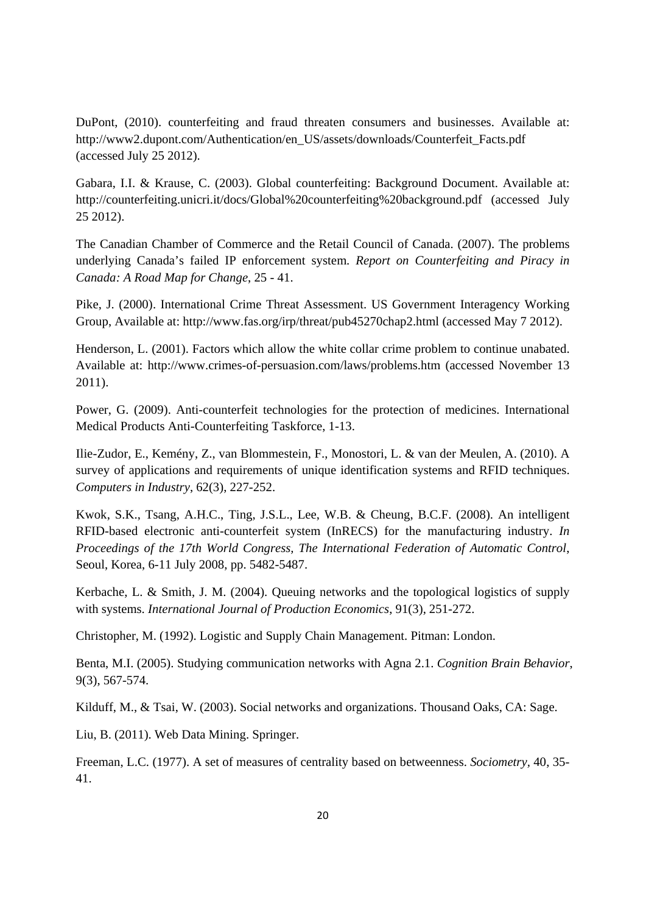DuPont, (2010). counterfeiting and fraud threaten consumers and businesses. Available at: http://www2.dupont.com/Authentication/en\_US/assets/downloads/Counterfeit\_Facts.pdf (accessed July 25 2012).

Gabara, I.I. & Krause, C. (2003). Global counterfeiting: Background Document. Available at: http://counterfeiting.unicri.it/docs/Global%20counterfeiting%20background.pdf (accessed July 25 2012).

The Canadian Chamber of Commerce and the Retail Council of Canada. (2007). The problems underlying Canada's failed IP enforcement system. *Report on Counterfeiting and Piracy in Canada: A Road Map for Change*, 25 - 41.

Pike, J. (2000). International Crime Threat Assessment. US Government Interagency Working Group, Available at: http://www.fas.org/irp/threat/pub45270chap2.html (accessed May 7 2012).

Henderson, L. (2001). Factors which allow the white collar crime problem to continue unabated. Available at: http://www.crimes-of-persuasion.com/laws/problems.htm (accessed November 13 2011).

Power, G. (2009). Anti-counterfeit technologies for the protection of medicines. International Medical Products Anti-Counterfeiting Taskforce, 1-13.

Ilie-Zudor, E., Kemény, Z., van Blommestein, F., Monostori, L. & van der Meulen, A. (2010). A survey of applications and requirements of unique identification systems and RFID techniques. *Computers in Industry*, 62(3), 227-252.

Kwok, S.K., Tsang, A.H.C., Ting, J.S.L., Lee, W.B. & Cheung, B.C.F. (2008). An intelligent RFID-based electronic anti-counterfeit system (InRECS) for the manufacturing industry. *In Proceedings of the 17th World Congress, The International Federation of Automatic Control*, Seoul, Korea, 6-11 July 2008, pp. 5482-5487.

Kerbache, L. & Smith, J. M. (2004). Queuing networks and the topological logistics of supply with systems. *International Journal of Production Economics*, 91(3), 251-272.

Christopher, M. (1992). Logistic and Supply Chain Management. Pitman: London.

Benta, M.I. (2005). Studying communication networks with Agna 2.1. *Cognition Brain Behavior*, 9(3), 567-574.

Kilduff, M., & Tsai, W. (2003). Social networks and organizations. Thousand Oaks, CA: Sage.

Liu, B. (2011). Web Data Mining. Springer.

Freeman, L.C. (1977). A set of measures of centrality based on betweenness. *Sociometry,* 40, 35- 41.